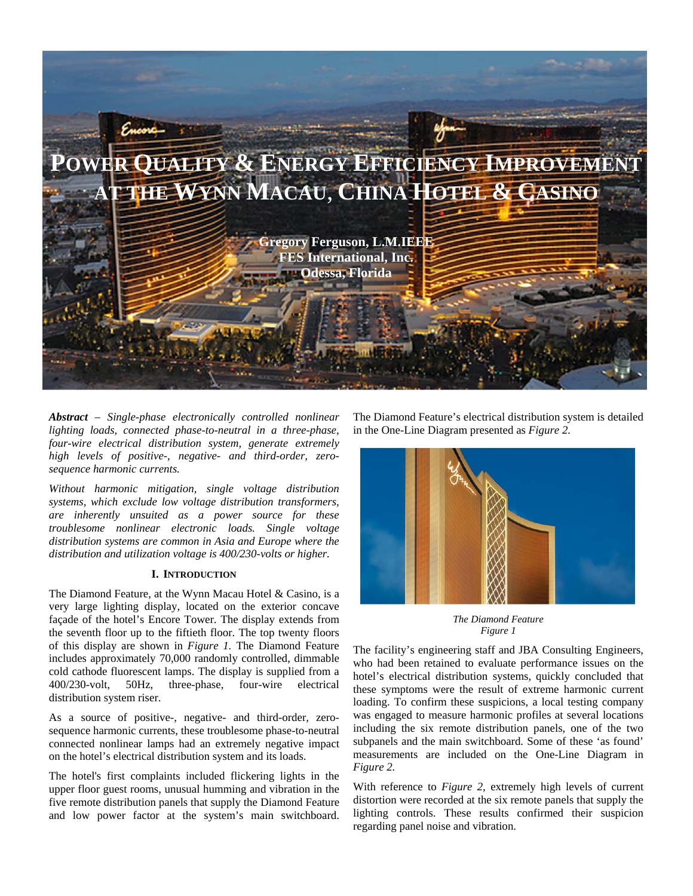

*Abstract – Single-phase electronically controlled nonlinear lighting loads, connected phase-to-neutral in a three-phase, four-wire electrical distribution system, generate extremely high levels of positive-, negative- and third-order, zerosequence harmonic currents.* 

*Without harmonic mitigation, single voltage distribution systems, which exclude low voltage distribution transformers, are inherently unsuited as a power source for these troublesome nonlinear electronic loads. Single voltage distribution systems are common in Asia and Europe where the distribution and utilization voltage is 400/230-volts or higher.* 

## **I. INTRODUCTION**

The Diamond Feature, at the Wynn Macau Hotel & Casino, is a very large lighting display, located on the exterior concave façade of the hotel's Encore Tower. The display extends from the seventh floor up to the fiftieth floor. The top twenty floors of this display are shown in *Figure 1.* The Diamond Feature includes approximately 70,000 randomly controlled, dimmable cold cathode fluorescent lamps. The display is supplied from a 400/230-volt, 50Hz, three-phase, four-wire electrical distribution system riser.

As a source of positive-, negative- and third-order, zerosequence harmonic currents, these troublesome phase-to-neutral connected nonlinear lamps had an extremely negative impact on the hotel's electrical distribution system and its loads.

The hotel's first complaints included flickering lights in the upper floor guest rooms, unusual humming and vibration in the five remote distribution panels that supply the Diamond Feature and low power factor at the system's main switchboard.

The Diamond Feature's electrical distribution system is detailed in the One-Line Diagram presented as *Figure 2.* 



*The Diamond Feature Figure 1* 

The facility's engineering staff and JBA Consulting Engineers, who had been retained to evaluate performance issues on the hotel's electrical distribution systems, quickly concluded that these symptoms were the result of extreme harmonic current loading. To confirm these suspicions, a local testing company was engaged to measure harmonic profiles at several locations including the six remote distribution panels, one of the two subpanels and the main switchboard. Some of these 'as found' measurements are included on the One-Line Diagram in *Figure 2.* 

With reference to *Figure 2,* extremely high levels of current distortion were recorded at the six remote panels that supply the lighting controls. These results confirmed their suspicion regarding panel noise and vibration.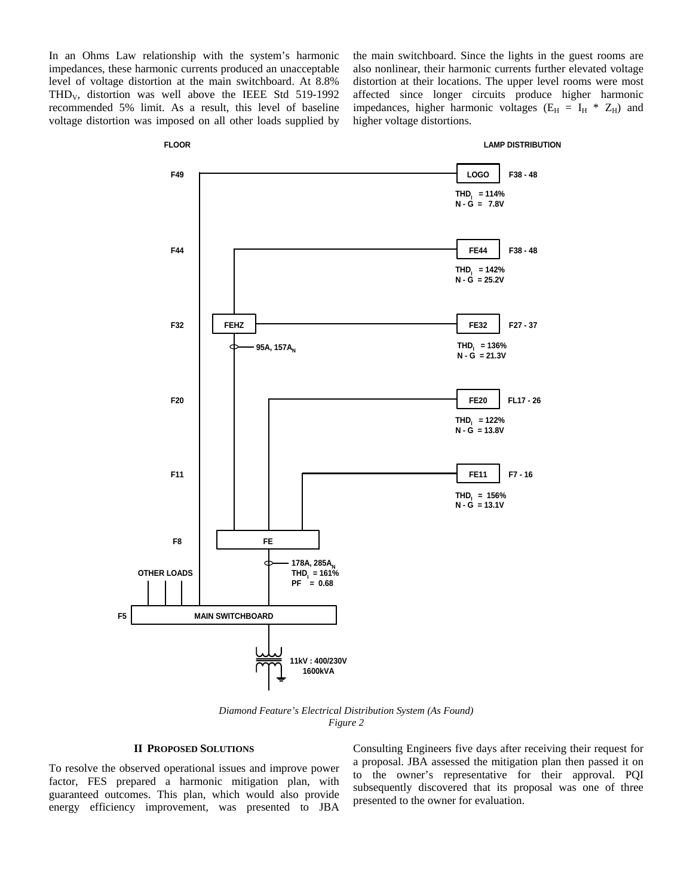In an Ohms Law relationship with the system's harmonic impedances, these harmonic currents produced an unacceptable level of voltage distortion at the main switchboard. At 8.8% THD<sub>V</sub>, distortion was well above the IEEE Std  $519-1992$ recommended 5% limit. As a result, this level of baseline voltage distortion was imposed on all other loads supplied by

**FLOOR**

the main switchboard. Since the lights in the guest rooms are also nonlinear, their harmonic currents further elevated voltage distortion at their locations. The upper level rooms were most affected since longer circuits produce higher harmonic impedances, higher harmonic voltages ( $E_H = I_H * Z_H$ ) and higher voltage distortions.

#### **LAMP DISTRIBUTION**



*Diamond Feature's Electrical Distribution System (As Found) Figure 2* 

## **II PROPOSED SOLUTIONS**

To resolve the observed operational issues and improve power factor, FES prepared a harmonic mitigation plan, with guaranteed outcomes. This plan, which would also provide energy efficiency improvement, was presented to JBA

Consulting Engineers five days after receiving their request for a proposal. JBA assessed the mitigation plan then passed it on to the owner's representative for their approval. PQI subsequently discovered that its proposal was one of three presented to the owner for evaluation.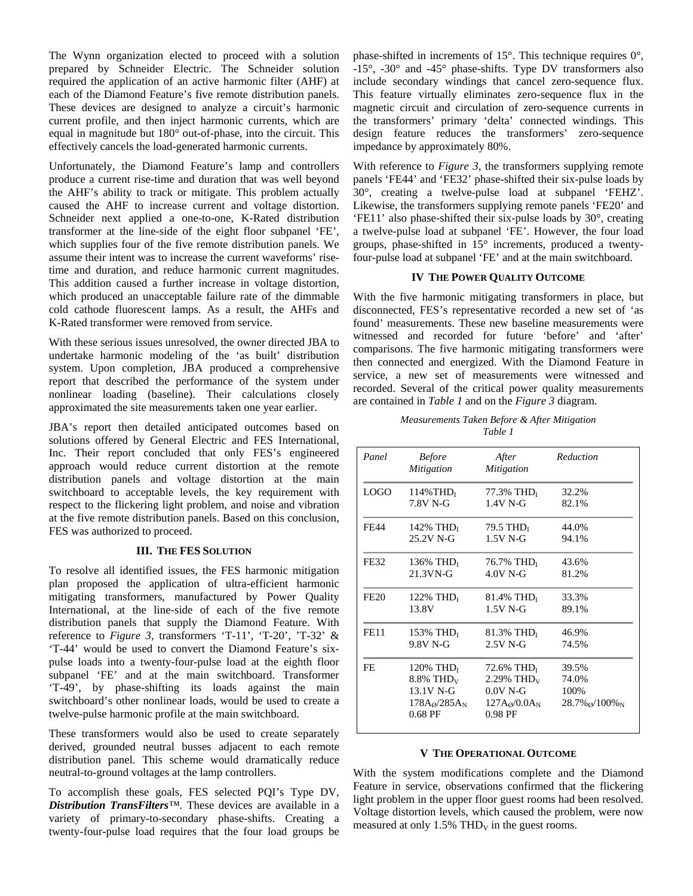The Wynn organization elected to proceed with a solution prepared by Schneider Electric. The Schneider solution required the application of an active harmonic filter (AHF) at each of the Diamond Feature's five remote distribution panels. These devices are designed to analyze a circuit's harmonic current profile, and then inject harmonic currents, which are equal in magnitude but 180° out-of-phase, into the circuit. This effectively cancels the load-generated harmonic currents.

Unfortunately, the Diamond Feature's lamp and controllers produce a current rise-time and duration that was well beyond the AHF's ability to track or mitigate. This problem actually caused the AHF to increase current and voltage distortion. Schneider next applied a one-to-one, K-Rated distribution transformer at the line-side of the eight floor subpanel 'FE', which supplies four of the five remote distribution panels. We assume their intent was to increase the current waveforms' risetime and duration, and reduce harmonic current magnitudes. This addition caused a further increase in voltage distortion, which produced an unacceptable failure rate of the dimmable cold cathode fluorescent lamps. As a result, the AHFs and K-Rated transformer were removed from service.

With these serious issues unresolved, the owner directed JBA to undertake harmonic modeling of the 'as built' distribution system. Upon completion, JBA produced a comprehensive report that described the performance of the system under nonlinear loading (baseline). Their calculations closely approximated the site measurements taken one year earlier.

JBA's report then detailed anticipated outcomes based on solutions offered by General Electric and FES International, Inc. Their report concluded that only FES's engineered approach would reduce current distortion at the remote distribution panels and voltage distortion at the main switchboard to acceptable levels, the key requirement with respect to the flickering light problem, and noise and vibration at the five remote distribution panels. Based on this conclusion, FES was authorized to proceed.

# **III. THE FES SOLUTION**

To resolve all identified issues, the FES harmonic mitigation plan proposed the application of ultra-efficient harmonic mitigating transformers, manufactured by Power Quality International, at the line-side of each of the five remote distribution panels that supply the Diamond Feature. With reference to *Figure 3,* transformers 'T-11', 'T-20', 'T-32' & 'T-44' would be used to convert the Diamond Feature's sixpulse loads into a twenty-four-pulse load at the eighth floor subpanel 'FE' and at the main switchboard. Transformer 'T-49', by phase-shifting its loads against the main switchboard's other nonlinear loads, would be used to create a twelve-pulse harmonic profile at the main switchboard.

These transformers would also be used to create separately derived, grounded neutral busses adjacent to each remote distribution panel. This scheme would dramatically reduce neutral-to-ground voltages at the lamp controllers.

To accomplish these goals, FES selected PQI's Type DV, *Distribution TransFilters™.* These devices are available in a variety of primary-to-secondary phase-shifts. Creating a twenty-four-pulse load requires that the four load groups be phase-shifted in increments of 15°. This technique requires 0°, -15°, -30° and -45° phase-shifts. Type DV transformers also include secondary windings that cancel zero-sequence flux. This feature virtually eliminates zero-sequence flux in the magnetic circuit and circulation of zero-sequence currents in the transformers' primary 'delta' connected windings. This design feature reduces the transformers' zero-sequence impedance by approximately 80%.

With reference to *Figure 3,* the transformers supplying remote panels 'FE44' and 'FE32' phase-shifted their six-pulse loads by 30°, creating a twelve-pulse load at subpanel 'FEHZ'. Likewise, the transformers supplying remote panels 'FE20' and 'FE11' also phase-shifted their six-pulse loads by 30°, creating a twelve-pulse load at subpanel 'FE'. However, the four load groups, phase-shifted in 15° increments, produced a twentyfour-pulse load at subpanel 'FE' and at the main switchboard.

#### **IV THE POWER QUALITY OUTCOME**

With the five harmonic mitigating transformers in place, but disconnected, FES's representative recorded a new set of 'as found' measurements. These new baseline measurements were witnessed and recorded for future 'before' and 'after' comparisons. The five harmonic mitigating transformers were then connected and energized. With the Diamond Feature in service, a new set of measurements were witnessed and recorded. Several of the critical power quality measurements are contained in *Table 1* and on the *Figure 3* diagram*.* 

*Measurements Taken Before & After Mitigation Table 1* 

| Panel       | <b>Before</b><br><i>Mitigation</i>                                                     | After<br><b>Mitigation</b>                                                                      | Reduction                                               |
|-------------|----------------------------------------------------------------------------------------|-------------------------------------------------------------------------------------------------|---------------------------------------------------------|
| <b>LOGO</b> | $114\%$ THD <sub>I</sub>                                                               | 77.3% THD <sub>I</sub>                                                                          | 32.2%                                                   |
|             | 7.8V N-G                                                                               | $1.4V$ N-G                                                                                      | 82.1%                                                   |
| <b>FE44</b> | 142% TH $D_I$                                                                          | 79.5 TH $D_I$                                                                                   | 44.0%                                                   |
|             | 25.2V N-G                                                                              | $1.5V$ N-G                                                                                      | 94.1%                                                   |
| FE32        | 136% THD <sub>I</sub>                                                                  | 76.7% THD <sub>I</sub>                                                                          | 43.6%                                                   |
|             | $21.3$ VN-G                                                                            | $4.0V$ N-G                                                                                      | 81.2%                                                   |
| <b>FE20</b> | 122% $THDI$                                                                            | $81.4\%$ THD <sub>I</sub>                                                                       | 33.3%                                                   |
|             | 13.8V                                                                                  | $1.5V$ N-G                                                                                      | 89.1%                                                   |
| <b>FE11</b> | 153% THD <sub><math>I</math></sub>                                                     | $81.3\%$ THD <sub>I</sub>                                                                       | 46.9%                                                   |
|             | 9.8V N-G                                                                               | $2.5V$ N-G                                                                                      | 74.5%                                                   |
| FE          | 120% TH $D_I$<br>$8.8\%$ THD <sub>V</sub><br>13.1V N-G<br>$178A_0/285A_N$<br>$0.68$ PF | 72.6% THD <sub>I</sub><br>$2.29\%$ THD <sub>V</sub><br>$0.0V$ N-G<br>$127A_0/0.0A_N$<br>0.98 PF | 39.5%<br>74.0%<br>100%<br>$28.7\%$ $\alpha$ / $100\%$ N |

## **V THE OPERATIONAL OUTCOME**

With the system modifications complete and the Diamond Feature in service, observations confirmed that the flickering light problem in the upper floor guest rooms had been resolved. Voltage distortion levels, which caused the problem, were now measured at only  $1.5\%$  THD<sub>V</sub> in the guest rooms.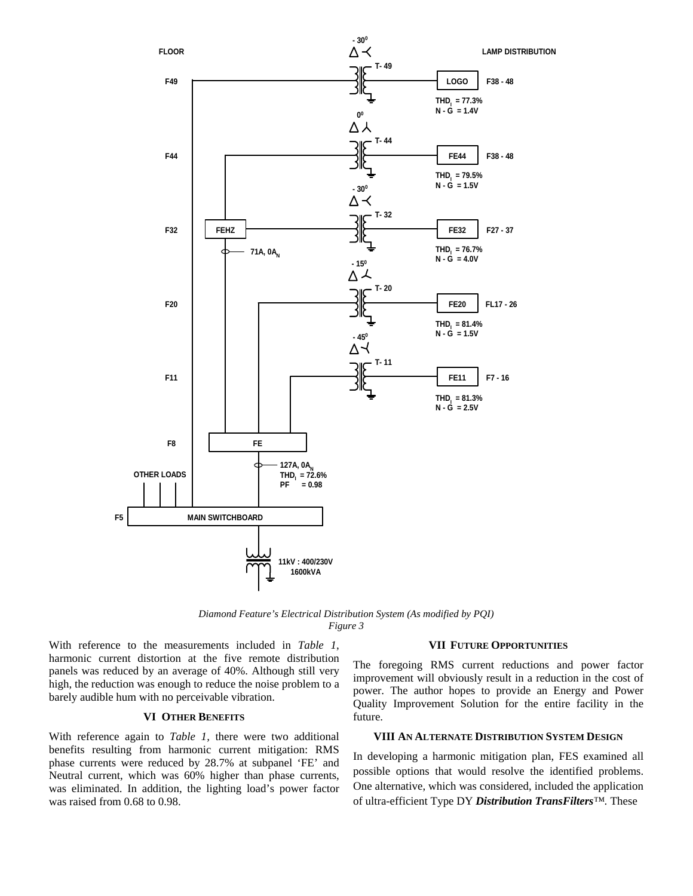

*Diamond Feature's Electrical Distribution System (As modified by PQI) Figure 3* 

With reference to the measurements included in *Table 1*, harmonic current distortion at the five remote distribution panels was reduced by an average of 40%. Although still very high, the reduction was enough to reduce the noise problem to a barely audible hum with no perceivable vibration.

# **VI OTHER BENEFITS**

With reference again to *Table 1,* there were two additional benefits resulting from harmonic current mitigation: RMS phase currents were reduced by 28.7% at subpanel 'FE' and Neutral current, which was 60% higher than phase currents, was eliminated. In addition, the lighting load's power factor was raised from 0.68 to 0.98.

#### **VII FUTURE OPPORTUNITIES**

The foregoing RMS current reductions and power factor improvement will obviously result in a reduction in the cost of power. The author hopes to provide an Energy and Power Quality Improvement Solution for the entire facility in the future.

#### **VIII AN ALTERNATE DISTRIBUTION SYSTEM DESIGN**

In developing a harmonic mitigation plan, FES examined all possible options that would resolve the identified problems. One alternative, which was considered, included the application of ultra-efficient Type DY *Distribution TransFilters™.* These